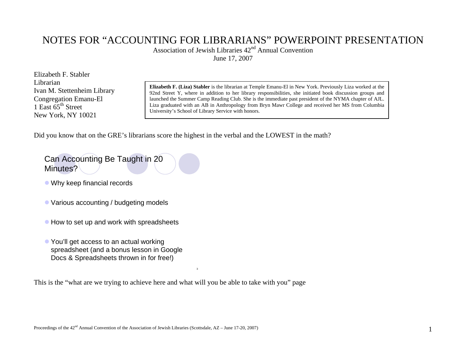### NOTES FOR "ACCOUNTING FOR LIBRARIANS" POWERPOINT PRESENTATION

Association of Jewish Libraries  $42<sup>nd</sup>$  Annual Convention

June 17, 2007

Elizabeth F. Stabler Librarian Ivan M. Stettenheim Library Congregation Emanu-El 1 East  $65<sup>th</sup>$  Street New York, NY 10021

**Elizabeth F. (Liza) Stabler** is the librarian at Temple Emanu-El in New York. Previously Liza worked at the 92nd Street Y, where in addition to her library responsibilities, she initiated book discussion groups and launched the Summer Camp Reading Club. She is the immediate past president of the NYMA chapter of AJL. Liza graduated with an AB in Anthropology from Bryn Mawr College and received her MS from Columbia University's School of Library Service with honors.

Did you know that on the GRE's librarians score the highest in the verbal and the LOWEST in the math?

#### Can Accounting Be Taught in 20 Minutes?

- $\bullet$  Why keep financial records
- Various accounting / budgeting models
- $\bullet$  How to set up and work with spreadsheets
- You'll get access to an actual working spreadsheet (and a bonus lesson in Google Docs & Spreadsheets thrown in for free!)

This is the "what are we trying to achieve here and what will you be able to take with you" page

3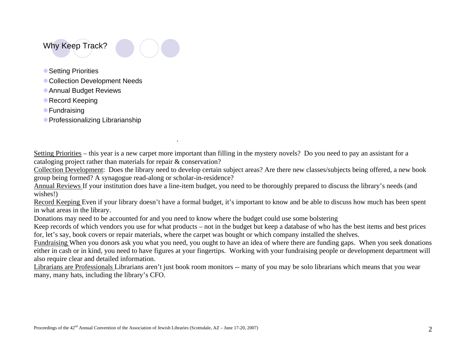#### Why Keep Track?



- Setting Priorities
- Collection Development Needs
- **Annual Budget Reviews**
- **Record Keeping**
- **Fundraising**
- **Professionalizing Librarianship**

Setting Priorities – this year is a new carpet more important than filling in the mystery novels? Do you need to pay an assistant for a cataloging project rather than materials for repair & conservation?

Collection Development: Does the library need to develop certain subject areas? Are there new classes/subjects being offered, a new book group being formed? A synagogue read-along or scholar-in-residence?

Annual Reviews If your institution does have a line-item budget, you need to be thoroughly prepared to discuss the library's needs (and wishes!)

Record Keeping Even if your library doesn't have a formal budget, it's important to know and be able to discuss how much has been spent in what areas in the library.

Donations may need to be accounted for and you need to know where the budget could use some bolstering

4

Keep records of which vendors you use for what products – not in the budget but keep a database of who has the best items and best prices for, let's say, book covers or repair materials, where the carpet was bought or which company installed the shelves.

Fundraising When you donors ask you what you need, you ought to have an idea of where there are funding gaps. When you seek donations either in cash or in kind, you need to have figures at your fingertips. Working with your fundraising people or development department will also require clear and detailed information.

Librarians are Professionals Librarians aren't just book room monitors -- many of you may be solo librarians which means that you wear many, many hats, including the library's CFO.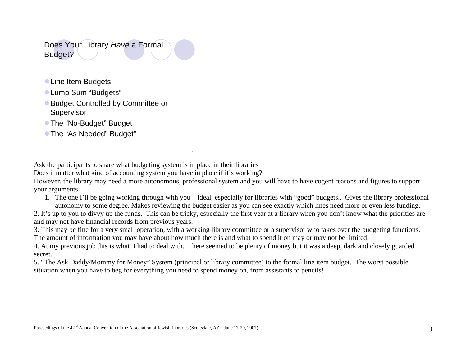Does Your Library *Have* a Formal Budget?

- **Line Item Budgets**
- **Lump Sum "Budgets"**
- Budget Controlled by Committee or Supervisor
- The "No-Budget" Budget
- **The "As Needed" Budget"**

Ask the participants to share what budgeting system is in place in their libraries

Does it matter what kind of accounting system you have in place if it's working?

However, the library may need a more autonomous, professional system and you will have to have cogent reasons and figures to support your arguments.

1. The one I'll be going working through with you – ideal, especially for libraries with "good" budgets.. Gives the library professional autonomy to some degree. Makes reviewing the budget easier as you can see exactly which lines need more or even less funding.

2. It's up to you to divvy up the funds. This can be tricky, especially the first year at a library when you don't know what the priorities are and may not have financial records from previous years.

3. This may be fine for a very small operation, with a working library committee or a supervisor who takes over the budgeting functions. The amount of information you may have about how much there is and what to spend it on may or may not be limited.

4. At my previous job this is what I had to deal with. There seemed to be plenty of money but it was a deep, dark and closely guarded secret.

5. "The Ask Daddy/Mommy for Money" System (principal or library committee) to the formal line item budget. The worst possible situation when you have to beg for everything you need to spend money on, from assistants to pencils!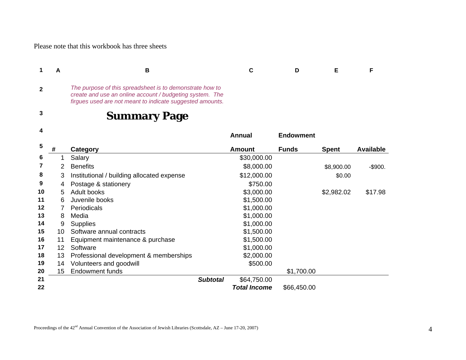Please note that this workbook has three sheets

| 1            | A  | B                                                                                                                                                                                 | C             | D                | Е            | F                |
|--------------|----|-----------------------------------------------------------------------------------------------------------------------------------------------------------------------------------|---------------|------------------|--------------|------------------|
| $\mathbf{2}$ |    | The purpose of this spreadsheet is to demonstrate how to<br>create and use an online account / budgeting system. The<br>firgues used are not meant to indicate suggested amounts. |               |                  |              |                  |
| 3            |    | <b>Summary Page</b>                                                                                                                                                               |               |                  |              |                  |
| 4            |    |                                                                                                                                                                                   | Annual        | <b>Endowment</b> |              |                  |
| 5            | #  | <b>Category</b>                                                                                                                                                                   | <b>Amount</b> | <b>Funds</b>     | <b>Spent</b> | <b>Available</b> |
| 6            |    | Salary                                                                                                                                                                            | \$30,000.00   |                  |              |                  |
| 7            | 2  | <b>Benefits</b>                                                                                                                                                                   | \$8,000.00    |                  | \$8,900.00   | $-$900.$         |
| 8            | 3  | Institutional / building allocated expense                                                                                                                                        | \$12,000.00   |                  | \$0.00       |                  |
| 9            | 4  | Postage & stationery                                                                                                                                                              | \$750.00      |                  |              |                  |
| 10           | 5  | <b>Adult books</b>                                                                                                                                                                | \$3,000.00    |                  | \$2,982.02   | \$17.98          |
| 11           | 6  | Juvenile books                                                                                                                                                                    | \$1,500.00    |                  |              |                  |
| 12           |    | Periodicals                                                                                                                                                                       | \$1,000.00    |                  |              |                  |
| 13           | 8  | Media                                                                                                                                                                             | \$1,000.00    |                  |              |                  |
| 14           | 9  | <b>Supplies</b>                                                                                                                                                                   | \$1,000.00    |                  |              |                  |
| 15           | 10 | Software annual contracts                                                                                                                                                         | \$1,500.00    |                  |              |                  |
| 16           | 11 | Equipment maintenance & purchase                                                                                                                                                  | \$1,500.00    |                  |              |                  |
| 17           | 12 | Software                                                                                                                                                                          | \$1,000.00    |                  |              |                  |
| 18           | 13 | Professional development & memberships                                                                                                                                            | \$2,000.00    |                  |              |                  |

| 19 | 14 Volunteers and goodwill |                 | \$500.00            |             |  |
|----|----------------------------|-----------------|---------------------|-------------|--|
| 20 | 15 Endowment funds         |                 |                     | \$1,700.00  |  |
| 21 |                            | <b>Subtotal</b> | \$64,750.00         |             |  |
| 22 |                            |                 | <b>Total Income</b> | \$66,450.00 |  |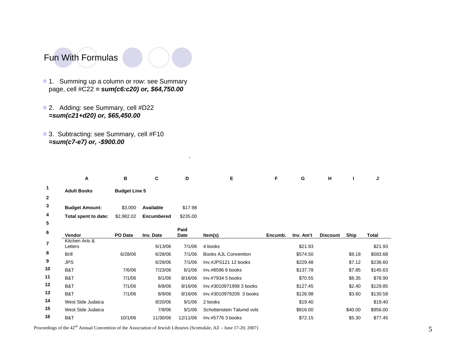

- 1. Summing up a column or row: see Summary page, cell #C22 *= sum(c6:c20) or, \$64,750.00*
- 2. Adding: see Summary, cell #D22 *=sum(c21+d20) or, \$65,450.00*
- 3. Subtracting: see Summary, cell #F10 *=sum(c7-e7) or, -\$900.00*

|              | Α                         | в                    | C                 | D            | E                           | F       | G         | н               |         | J        |
|--------------|---------------------------|----------------------|-------------------|--------------|-----------------------------|---------|-----------|-----------------|---------|----------|
| $\mathbf 1$  | <b>Adult Books</b>        | <b>Budget Line 5</b> |                   |              |                             |         |           |                 |         |          |
| $\mathbf{2}$ |                           |                      |                   |              |                             |         |           |                 |         |          |
| 3            | <b>Budget Amount:</b>     | \$3,000              | Available         | \$17.98      |                             |         |           |                 |         |          |
| 4            | Total spent to date:      | \$2,982.02           | <b>Encumbered</b> | \$235.00     |                             |         |           |                 |         |          |
| 5            |                           |                      |                   |              |                             |         |           |                 |         |          |
| 6            | Vendor                    | <b>PO</b> Date       | Inv. Date         | Paid<br>Date | Item(s)                     | Encumb. | Inv. Am't | <b>Discount</b> | Ship    | Total    |
| 7            | Kitchen Arts &<br>Letters |                      | 6/13/06           | 7/1/06       | 4 books                     |         | \$21.93   |                 |         | \$21.93  |
| 8            | <b>Brill</b>              | 6/28/06              | 6/28/06           | 7/1/06       | <b>Books AJL Convention</b> |         | \$574.50  |                 | \$9.18  | \$583.68 |
| 9            | <b>JPS</b>                |                      | 6/29/06           | 7/1/06       | Inv.#JPS121 12 books        |         | \$229.48  |                 | \$7.12  | \$236.60 |
| 10           | B&T                       | 7/6/06               | 7/23/06           | 8/1/06       | Inv.#8596 6 books           |         | \$137.78  |                 | \$7.85  | \$145.63 |
| 11           | B&T                       | 7/1/06               | 8/1/06            | 8/16/06      | Inv.#7934 5 books           |         | \$70.55   |                 | \$8.35  | \$78.90  |
| 12           | B&T                       | 7/1/06               | 8/8/06            | 8/16/06      | Inv.#3010971998 3 books     |         | \$127.45  |                 | \$2.40  | \$129.85 |
| 13           | B&T                       | 7/1/06               | 8/9/06            | 8/16/06      | Inv.#3010979209 3 books     |         | \$126.98  |                 | \$3.60  | \$130.58 |
| 14           | West Side Judaica         |                      | 8/20/06           | 9/1/06       | 2 books                     |         | \$19.40   |                 |         | \$19.40  |
| 15           | West Side Judaica         |                      | 7/9/06            | 9/1/06       | Schottenstein Talumd vols   |         | \$916.00  |                 | \$40.00 | \$956.00 |
| 16           | B&T                       | 10/1/06              | 11/30/06          | 12/11/06     | Inv.#5776 3 books           |         | \$72.15   |                 | \$5.30  | \$77.45  |

7

Proceedings of the 42<sup>nd</sup> Annual Convention of the Association of Jewish Libraries (Scottsdale, AZ – June 17-20, 2007)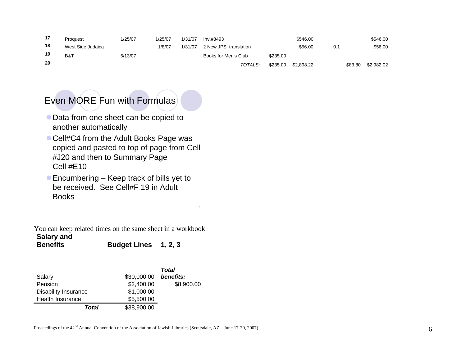| 17  | Proguest          | 1/25/07 | 1/25/07 | 1/31/07 | Inv. #3493            |          | \$546.00   |     |         | \$546.00   |
|-----|-------------------|---------|---------|---------|-----------------------|----------|------------|-----|---------|------------|
| 18  | West Side Judaica |         | 1/8/07  | 1/31/07 | 2 New JPS translation |          | \$56.00    | 0.1 |         | \$56.00    |
| 19  | B&T               | 5/13/07 |         |         | Books for Men's Club  | \$235.00 |            |     |         |            |
| -20 |                   |         |         |         | TOTALS:               | \$235.00 | \$2.898.22 |     | \$83.80 | \$2.982.02 |

9

# Even MORE Fun with Formulas

- $\bullet$  Data from one sheet can be copied to another automatically
- Cell#C4 from the Adult Books Page was copied and pasted to top of page from Cell #J20 and then to Summary Page Cell #E10
- $\bullet$  Encumbering Keep track of bills yet to be received. See Cell#F 19 in Adult Books

You can keep related times on the same sheet in a workbook **Salary and** 

```
Budget Lines 1, 2, 3
```

|                             |             | Total      |
|-----------------------------|-------------|------------|
| Salary                      | \$30,000.00 | benefits:  |
| Pension                     | \$2,400.00  | \$8,900.00 |
| <b>Disability Insurance</b> | \$1,000.00  |            |
| Health Insurance            | \$5,500.00  |            |
| Total                       | \$38,900.00 |            |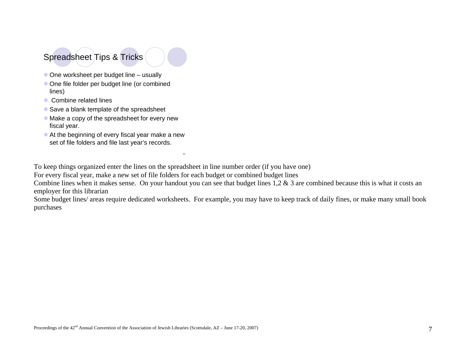# Spreadsheet Tips & Tricks

- $\bullet$  One worksheet per budget line usually
- One file folder per budget line (or combined lines)
- Combine related lines
- $\bullet$  Save a blank template of the spreadsheet
- $\bullet$  Make a copy of the spreadsheet for every new fiscal year.
- $\bullet$  At the beginning of every fiscal year make a new set of file folders and file last year's records.

To keep things organized enter the lines on the spreadsheet in line number order (if you have one)

11

For every fiscal year, make a new set of file folders for each budget or combined budget lines

Combine lines when it makes sense. On your handout you can see that budget lines 1,2 & 3 are combined because this is what it costs an employer for this librarian

Some budget lines/ areas require dedicated worksheets. For example, you may have to keep track of daily fines, or make many small book purchases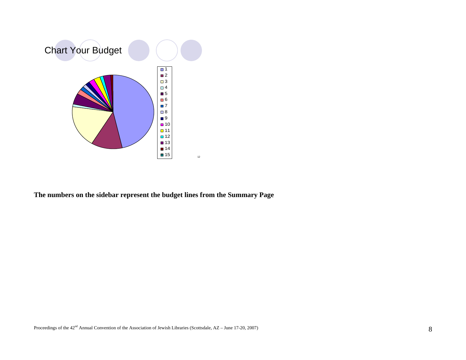

**The numbers on the sidebar represent the budget lines from the Summary Page**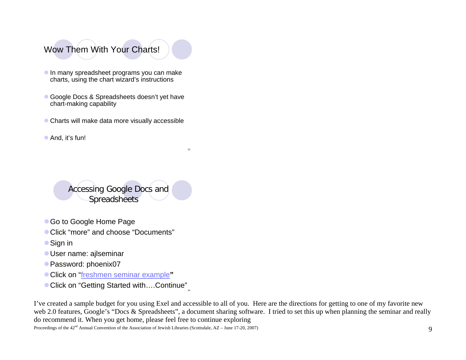# Wow Them With Your Charts!

- **In many spreadsheet programs you can make** charts, using the chart wizard's instructions
- Google Docs & Spreadsheets doesn't yet have chart-making capability
- $\bullet$  Charts will make data more visually accessible
- $\bullet$  And, it's fun!

Accessing Google Docs and **Spreadsheets** 

- Go to Google Home Page
- Click "more" and choose "Documents"
- Sign in
- **User name: ajlseminar**
- Password: phoenix07
- **Click on "freshmen seminar example"**
- Click on "Getting Started with....Continue"

I've created a sample budget for you using Exel and accessible to all of you. Here are the directions for getting to one of my favorite new web 2.0 features, Google's "Docs & Spreadsheets", a document sharing software. I tried to set this up when planning the seminar and really do recommend it. When you get home, please feel free to continue exploring

13

14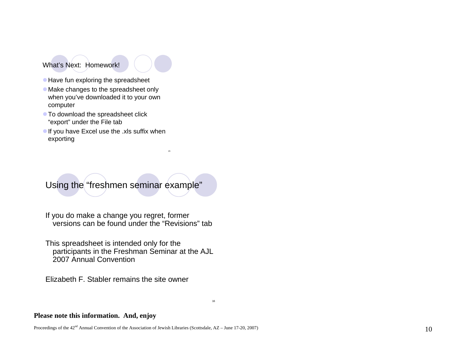What's Next: Homework!



15

- $\bullet$  Have fun exploring the spreadsheet
- Make changes to the spreadsheet only when you've downloaded it to your own computer
- $\bullet$  To download the spreadsheet click "export" under the File tab
- If you have Excel use the .xls suffix when exporting



If you do make a change you regret, former versions can be found under the "Revisions" tab

This spreadsheet is intended only for the participants in the Freshman Seminar at the AJL 2007 Annual Convention

Elizabeth F. Stabler remains the site owner

#### **Please note this information. And, enjoy**

Proceedings of the  $42<sup>nd</sup>$  Annual Convention of the Association of Jewish Libraries (Scottsdale, AZ – June 17-20, 2007)  $10<sup>nd</sup>$ 

16